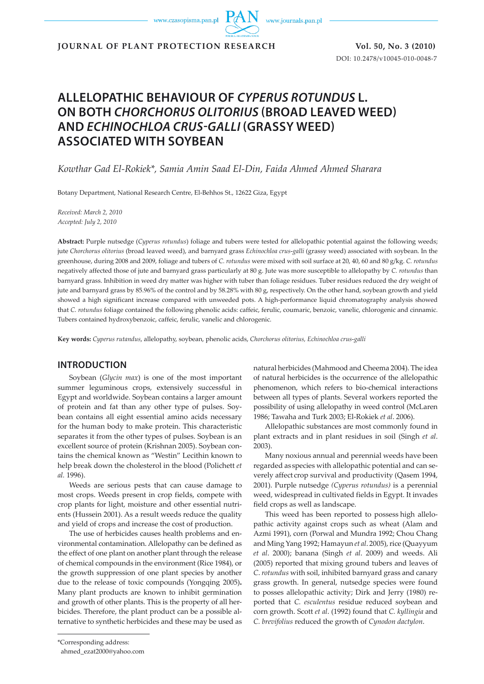www.czasopisma.pan.pl

www.journals.pan.pl

**JOURNAL OF PLANT PROTECTION RESEARCH Vol. 50, No. 3 (2010)** 

DOI: 10.2478/v10045-010-0048-7

# **ALLELOPATHIC BEHAVIOUR OF** *CYPERUS ROTUNDUS* **L. ON BOTH** *CHORCHORUS OLITORIUS* **(BROAD LEAVED WEED) AND** *ECHINOCHLOA CRUS-GALLI* **(GRASSY WEED) ASSOCIATED WITH SOYBEAN**

*Kowthar Gad El-Rokiek\*, Samia Amin Saad El-Din, Faida Ahmed Ahmed Sharara*

Botany Department, National Research Centre, El-Behhos St., 12622 Giza, Egypt

*Received: March 2, 2010 Accepted: July 2, 2010*

**Abstract:** Purple nutsedge (*Cyperus rotundus*) foliage and tubers were tested for allelopathic potential against the following weeds; jute *Chorchorus olitorius* (broad leaved weed), and barnyard grass *Echinochloa crus*-*galli* (grassy weed) associated with soybean. In the greenhouse, during 2008 and 2009, foliage and tubers of *C. rotundus* were mixed with soil surface at 20, 40, 60 and 80 g/kg. *C. rotundus* negatively affected those of jute and barnyard grass particularly at 80 g. Jute was more susceptible to allelopathy by *C. rotundus* than barnyard grass. Inhibition in weed dry matter was higher with tuber than foliage residues. Tuber residues reduced the dry weight of jute and barnyard grass by 85.96% of the control and by 58.28% with 80 g, respectively. On the other hand, soybean growth and yield showed a high significant increase compared with unweeded pots. A high-performance liquid chromatography analysis showed that *C. rotundus* foliage contained the following phenolic acids: caffeic, ferulic, coumaric, benzoic, vanelic, chlorogenic and cinnamic. Tubers contained hydroxybenzoic, caffeic, ferulic, vanelic and chlorogenic.

**Key words:** *Cyperus rutandus*, allelopathy, soybean, phenolic acids, *Chorchorus olitorius, Echinochloa crus*-*galli*

# **INTRODUCTION**

Soybean (*Glycin max*) is one of the most important summer leguminous crops, extensively successful in Egypt and worldwide. Soybean contains a larger amount of protein and fat than any other type of pulses. Soybean contains all eight essential amino acids necessary for the human body to make protein. This characteristic separates it from the other types of pulses. Soybean is an excellent source of protein (Krishnan 2005). Soybean contains the chemical known as "Westin" Lecithin known to help break down the cholesterol in the blood (Polichett *et al.* 1996).

Weeds are serious pests that can cause damage to most crops. Weeds present in crop fields, compete with crop plants for light, moisture and other essential nutrients (Hussein 2001). As a result weeds reduce the quality and yield of crops and increase the cost of production.

The use of herbicides causes health problems and environmental contamination. Allelopathy can be defined as the effect of one plant on another plant through the release of chemical compounds in the environment (Rice 1984), or the growth suppression of one plant species by another due to the release of toxic compounds (Yongqing 2005)**.**  Many plant products are known to inhibit germination and growth of other plants. This is the property of all herbicides. Therefore, the plant product can be a possible alternative to synthetic herbicides and these may be used as natural herbicides (Mahmood and Cheema 2004). The idea of natural herbicides is the occurrence of the allelopathic phenomenon, which refers to bio-chemical interactions between all types of plants. Several workers reported the possibility of using allelopathy in weed control (McLaren 1986; Tawaha and Turk 2003; El-Rokiek *et al*. 2006).

Allelopathic substances are most commonly found in plant extracts and in plant residues in soil (Singh *et al*. 2003).

Many noxious annual and perennial weeds have been regarded as species with allelopathic potential and can severely affect crop survival and productivity (Qasem 1994, 2001). Purple nutsedge *(Cyperus rotundus)* is a perennial weed, widespread in cultivated fields in Egypt. It invades field crops as well as landscape.

This weed has been reported to possess high allelopathic activity against crops such as wheat (Alam and Azmi 1991), corn (Porwal and Mundra 1992; Chou Chang and Ming Yang 1992; Hamayun *et al*. 2005), rice (Quayyum *et al*. 2000); banana (Singh *et al*. 2009) and weeds. Ali (2005) reported that mixing ground tubers and leaves of *C*. *rotundus* with soil, inhibited barnyard grass and canary grass growth. In general, nutsedge species were found to posses allelopathic activity; Dirk and Jerry (1980) reported that *C. esculentus* residue reduced soybean and corn growth. Scott *et al*. (1992) found that *C. kyllingia* and *C. brevifolius* reduced the growth of *Cynodon dactylon*.

ahmed\_ezat2000@yahoo.com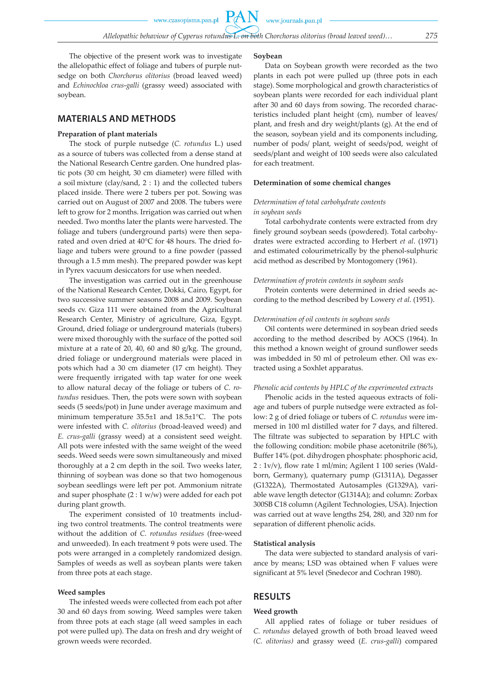www.czasopisma.pan.pl

www.journals.pan.pl

**PAN** 

The objective of the present work was to investigate the allelopathic effect of foliage and tubers of purple nutsedge on both *Chorchorus olitorius* (broad leaved weed) and *Echinochloa crus*-*galli* (grassy weed) associated with soybean.

# **MATERIALS AND METHODS**

# **Preparation of plant materials**

The stock of purple nutsedge (*C. rotundus* L.) used as a source of tubers was collected from a dense stand at the National Research Centre garden. One hundred plastic pots (30 cm height, 30 cm diameter) were filled with a soil mixture (clay/sand, 2 : 1) and the collected tubers placed inside. There were 2 tubers per pot. Sowing was carried out on August of 2007 and 2008. The tubers were left to grow for 2 months. Irrigation was carried out when needed. Two months later the plants were harvested. The foliage and tubers (underground parts) were then separated and oven dried at 40°C for 48 hours. The dried foliage and tubers were ground to a fine powder (passed through a 1.5 mm mesh). The prepared powder was kept in Pyrex vacuum desiccators for use when needed.

The investigation was carried out in the greenhouse of the National Research Center, Dokki, Cairo, Egypt, for two successive summer seasons 2008 and 2009. Soybean seeds cv. Giza 111 were obtained from the Agricultural Research Center, Ministry of agriculture, Giza, Egypt. Ground, dried foliage or underground materials (tubers) were mixed thoroughly with the surface of the potted soil mixture at a rate of 20, 40, 60 and 80 g/kg. The ground, dried foliage or underground materials were placed in pots which had a 30 cm diameter (17 cm height). They were frequently irrigated with tap water for one week to allow natural decay of the foliage or tubers of *C. rotundus* residues. Then, the pots were sown with soybean seeds (5 seeds/pot) in June under average maximum and minimum temperature 35.5±1 and 18.5±1°C. The pots were infested with *C. olitorius* (broad-leaved weed) and *E. crus*-*galli* (grassy weed) at a consistent seed weight. All pots were infested with the same weight of the weed seeds. Weed seeds were sown simultaneously and mixed thoroughly at a 2 cm depth in the soil. Two weeks later, thinning of soybean was done so that two homogenous soybean seedlings were left per pot. Ammonium nitrate and super phosphate (2 : 1 w/w) were added for each pot during plant growth.

The experiment consisted of 10 treatments including two control treatments. The control treatments were without the addition of *C. rotundus residues* (free-weed and unweeded). In each treatment 9 pots were used. The pots were arranged in a completely randomized design. Samples of weeds as well as soybean plants were taken from three pots at each stage.

## **Weed samples**

The infested weeds were collected from each pot after 30 and 60 days from sowing. Weed samples were taken from three pots at each stage (all weed samples in each pot were pulled up). The data on fresh and dry weight of grown weeds were recorded.

### **Soybean**

Data on Soybean growth were recorded as the two plants in each pot were pulled up (three pots in each stage). Some morphological and growth characteristics of soybean plants were recorded for each individual plant after 30 and 60 days from sowing. The recorded characteristics included plant height (cm), number of leaves/ plant, and fresh and dry weight/plants (g). At the end of the season, soybean yield and its components including, number of pods/ plant, weight of seeds/pod, weight of seeds/plant and weight of 100 seeds were also calculated for each treatment.

# **Determination of some chemical changes**

# *Determination of total carbohydrate contents in soybean seeds*

Total carbohydrate contents were extracted from dry finely ground soybean seeds (powdered). Total carbohydrates were extracted according to Herbert *et al*. (1971) and estimated colourimetrically by the phenol-sulphuric acid method as described by Montogomery (1961).

#### *Determination of protein contents in soybean seeds*

Protein contents were determined in dried seeds according to the method described by Lowery *et al*. (1951).

#### *Determination of oil contents in soybean seeds*

Oil contents were determined in soybean dried seeds according to the method described by AOCS (1964). In this method a known weight of ground sunflower seeds was imbedded in 50 ml of petroleum ether. Oil was extracted using a Soxhlet apparatus.

# *Phenolic acid contents by HPLC of the experimented extracts*

Phenolic acids in the tested aqueous extracts of foliage and tubers of purple nutsedge were extracted as follow: 2 g of dried foliage or tubers of *C. rotundus* were immersed in 100 ml distilled water for 7 days, and filtered. The filtrate was subjected to separation by HPLC with the following condition: mobile phase acetonitrile (86%), Buffer 14% (pot. dihydrogen phosphate: phosphoric acid, 2 : 1v/v), flow rate 1 ml/min; Agilent 1 100 series (Waldborn, Germany), quaternary pump (G1311A), Degasser (G1322A), Thermostated Autosamples (G1329A), variable wave length detector (G1314A); and column: Zorbax 300SB C18 column (Agilent Technologies, USA). Injection was carried out at wave lengths 254, 280, and 320 nm for separation of different phenolic acids.

## **Statistical analysis**

The data were subjected to standard analysis of variance by means; LSD was obtained when F values were significant at 5% level (Snedecor and Cochran 1980).

# **RESULTS**

# **Weed growth**

All applied rates of foliage or tuber residues of *C. rotundus* delayed growth of both broad leaved weed *(C. olitorius)* and grassy weed (*E. crus*-*galli*) compared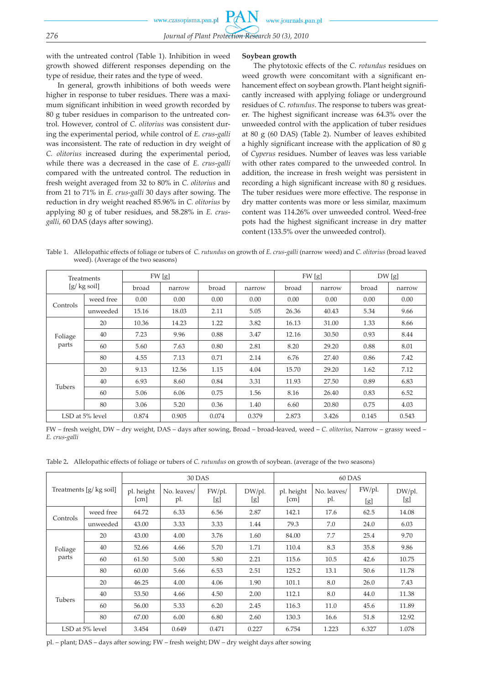with the untreated control (Table 1). Inhibition in weed growth showed different responses depending on the type of residue, their rates and the type of weed.

In general, growth inhibitions of both weeds were higher in response to tuber residues. There was a maximum significant inhibition in weed growth recorded by 80 g tuber residues in comparison to the untreated control. However, control of *C. olitorius* was consistent during the experimental period, while control of *E. crus*-*galli*  was inconsistent. The rate of reduction in dry weight of *C. olitorius* increased during the experimental period, while there was a decreased in the case of *E. crus*-*galli*  compared with the untreated control*.* The reduction in fresh weight averaged from 32 to 80% in *C. olitorius* and from 21 to 71% in *E. crus*-*galli* 30 days after sowing. The reduction in dry weight reached 85.96% in *C. olitorius* by applying 80 g of tuber residues, and 58.28% in *E. crusgalli,* 60 DAS (days after sowing).

# **Soybean growth**

The phytotoxic effects of the *C. rotundus* residues on weed growth were concomitant with a significant enhancement effect on soybean growth. Plant height significantly increased with applying foliage or underground residues of *C. rotundus*. The response to tubers was greater. The highest significant increase was 64.3% over the unweeded control with the application of tuber residues at 80 g (60 DAS) (Table 2). Number of leaves exhibited a highly significant increase with the application of 80 g of *Cyperus* residues. Number of leaves was less variable with other rates compared to the unweeded control. In addition, the increase in fresh weight was persistent in recording a high significant increase with 80 g residues. The tuber residues were more effective. The response in dry matter contents was more or less similar, maximum content was 114.26% over unweeded control. Weed-free pots had the highest significant increase in dry matter content (133.5% over the unweeded control).

Table 1. Allelopathic effects of foliage or tubers of *C. rutundus* on growth of *E. crus*-*galli* (narrow weed) and *C. olitorius* (broad leaved weed). (Average of the two seasons)

| Treatments<br>$[g/kg\,$ soil] |           | FW [g] |        |       |        | FW [g] |        | DW[g] |        |
|-------------------------------|-----------|--------|--------|-------|--------|--------|--------|-------|--------|
|                               |           | broad  | narrow | broad | narrow | broad  | narrow | broad | narrow |
| Controls                      | weed free | 0.00   | 0.00   | 0.00  | 0.00   | 0.00   | 0.00   | 0.00  | 0.00   |
|                               | unweeded  | 15.16  | 18.03  | 2.11  | 5.05   | 26.36  | 40.43  | 5.34  | 9.66   |
| Foliage<br>parts              | 20        | 10.36  | 14.23  | 1.22  | 3.82   | 16.13  | 31.00  | 1.33  | 8.66   |
|                               | 40        | 7.23   | 9.96   | 0.88  | 3.47   | 12.16  | 30.50  | 0.93  | 8.44   |
|                               | 60        | 5.60   | 7.63   | 0.80  | 2.81   | 8.20   | 29.20  | 0.88  | 8.01   |
|                               | 80        | 4.55   | 7.13   | 0.71  | 2.14   | 6.76   | 27.40  | 0.86  | 7.42   |
|                               | 20        | 9.13   | 12.56  | 1.15  | 4.04   | 15.70  | 29.20  | 1.62  | 7.12   |
| <b>Tubers</b>                 | 40        | 6.93   | 8.60   | 0.84  | 3.31   | 11.93  | 27.50  | 0.89  | 6.83   |
|                               | 60        | 5.06   | 6.06   | 0.75  | 1.56   | 8.16   | 26.40  | 0.83  | 6.52   |
|                               | 80        | 3.06   | 5.20   | 0.36  | 1.40   | 6.60   | 20.80  | 0.75  | 4.03   |
| LSD at 5% level               |           | 0.874  | 0.905  | 0.074 | 0.379  | 2.873  | 3.426  | 0.145 | 0.543  |

FW – fresh weight, DW – dry weight, DAS – days after sowing, Broad – broad-leaved, weed – *C. olitorius*, Narrow – grassy weed – *E. crus*-*galli*

Table 2**.** Allelopathic effects of foliage or tubers of *C. rutundus* on growth of soybean. (average of the two seasons)

| Treatments [g/ kg soil] |           | 30 DAS             |                    |               |               | 60 DAS             |                    |               |               |
|-------------------------|-----------|--------------------|--------------------|---------------|---------------|--------------------|--------------------|---------------|---------------|
|                         |           | pl. height<br>[cm] | No. leaves/<br>pl. | FW/pl.<br>[g] | DW/pl.<br>lgJ | pl. height<br>[cm] | No. leaves/<br>pl. | FW/pl.<br>[g] | DW/pl.<br>[g] |
| Controls                | weed free | 64.72              | 6.33               | 6.56          | 2.87          | 142.1              | 17.6               | 62.5          | 14.08         |
|                         | unweeded  | 43.00              | 3.33               | 3.33          | 1.44          | 79.3               | 7.0                | 24.0          | 6.03          |
| Foliage<br>parts        | 20        | 43.00              | 4.00               | 3.76          | 1.60          | 84.00              | 7.7                | 25.4          | 9.70          |
|                         | 40        | 52.66              | 4.66               | 5.70          | 1.71          | 110.4              | 8.3                | 35.8          | 9.86          |
|                         | 60        | 61.50              | 5.00               | 5.80          | 2.21          | 115.6              | 10.5               | 42.6          | 10.75         |
|                         | 80        | 60.00              | 5.66               | 6.53          | 2.51          | 125.2              | 13.1               | 50.6          | 11.78         |
| Tubers                  | 20        | 46.25              | 4.00               | 4.06          | 1.90          | 101.1              | 8.0                | 26.0          | 7.43          |
|                         | 40        | 53.50              | 4.66               | 4.50          | 2.00          | 112.1              | 8.0                | 44.0          | 11.38         |
|                         | 60        | 56.00              | 5.33               | 6.20          | 2.45          | 116.3              | 11.0               | 45.6          | 11.89         |
|                         | 80        | 67.00              | 6.00               | 6.80          | 2.60          | 130.3              | 16.6               | 51.8          | 12.92         |
| LSD at 5% level         |           | 3.454              | 0.649              | 0.471         | 0.227         | 6.754              | 1.223              | 6.327         | 1.078         |

pl. – plant; DAS – days after sowing; FW – fresh weight; DW – dry weight days after sowing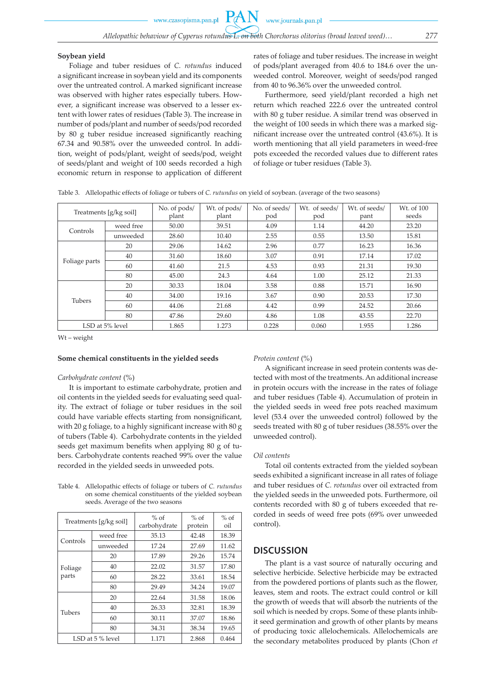#### **Soybean yield**

Foliage and tuber residues of *C. rotundus* induced a significant increase in soybean yield and its components over the untreated control. A marked significant increase was observed with higher rates especially tubers. However, a significant increase was observed to a lesser extent with lower rates of residues (Table 3). The increase in number of pods/plant and number of seeds/pod recorded by 80 g tuber residue increased significantly reaching 67.34 and 90.58% over the unweeded control. In addition, weight of pods/plant, weight of seeds/pod, weight of seeds/plant and weight of 100 seeds recorded a high economic return in response to application of different rates of foliage and tuber residues. The increase in weight of pods/plant averaged from 40.6 to 184.6 over the unweeded control. Moreover, weight of seeds/pod ranged from 40 to 96.36% over the unweeded control.

Furthermore, seed yield/plant recorded a high net return which reached 222.6 over the untreated control with 80 g tuber residue. A similar trend was observed in the weight of 100 seeds in which there was a marked significant increase over the untreated control (43.6%). It is worth mentioning that all yield parameters in weed-free pots exceeded the recorded values due to different rates of foliage or tuber residues (Table 3).

|  |  | Table 3. Allelopathic effects of foliage or tubers of C. <i>rutundus</i> on yield of soybean. (average of the two seasons) |
|--|--|----------------------------------------------------------------------------------------------------------------------------|
|  |  |                                                                                                                            |

| Treatments [g/kg soil] |           | No. of pods/<br>plant | Wt. of pods/<br>plant | No. of seeds/<br>pod | Wt. of seeds/<br>pod | Wt. of seeds/<br>pant | W <sub>t.</sub> of 100<br>seeds |
|------------------------|-----------|-----------------------|-----------------------|----------------------|----------------------|-----------------------|---------------------------------|
| Controls               | weed free | 50.00                 | 39.51                 | 4.09                 | 1.14                 | 44.20                 | 23.20                           |
|                        | unweeded  | 28.60                 | 10.40                 | 2.55                 | 0.55                 | 13.50                 | 15.81                           |
| Foliage parts          | 20        | 29.06                 | 14.62                 | 2.96                 | 0.77                 | 16.23                 | 16.36                           |
|                        | 40        | 31.60                 | 18.60                 | 3.07                 | 0.91                 | 17.14                 | 17.02                           |
|                        | 60        | 41.60                 | 21.5                  | 4.53                 | 0.93                 | 21.31                 | 19.30                           |
|                        | 80        | 45.00                 | 24.3                  | 4.64                 | 1.00                 | 25.12                 | 21.33                           |
|                        | 20        | 30.33                 | 18.04                 | 3.58                 | 0.88                 | 15.71                 | 16.90                           |
| Tubers                 | 40        | 34.00                 | 19.16                 | 3.67                 | 0.90                 | 20.53                 | 17.30                           |
|                        | 60        | 44.06                 | 21.68                 | 4.42                 | 0.99                 | 24.52                 | 20.66                           |
|                        | 80        | 47.86                 | 29.60                 | 4.86                 | 1.08                 | 43.55                 | 22.70                           |
| LSD at 5% level        |           | 1.865                 | 1.273                 | 0.228                | 0.060                | 1.955                 | 1.286                           |

Wt – weight

#### **Some chemical constituents in the yielded seeds**

### *Carbohydrate content* (*%*)

It is important to estimate carbohydrate, protien and oil contents in the yielded seeds for evaluating seed quality. The extract of foliage or tuber residues in the soil could have variable effects starting from nonsignificant, with 20 g foliage, to a highly significant increase with 80 g of tubers (Table 4). Carbohydrate contents in the yielded seeds get maximum benefits when applying 80 g of tubers. Carbohydrate contents reached 99% over the value recorded in the yielded seeds in unweeded pots.

Table 4. Allelopathic effects of foliage or tubers of *C. rutundus* on some chemical constituents of the yielded soybean seeds. Average of the two seasons

|               | Treatments [g/kg soil] | $%$ of<br>carbohydrate | $%$ of<br>protein | $%$ of<br>oil |
|---------------|------------------------|------------------------|-------------------|---------------|
| Controls      | weed free              | 35.13                  | 42.48             | 18.39         |
|               | unweeded               | 17.24                  | 27.69             | 11.62         |
|               | 20                     | 17.89                  | 29.26             | 15.74         |
| Foliage       | 40                     | 22.02                  | 31.57             | 17.80         |
| parts         | 60                     | 28.22                  | 33.61             | 18.54         |
|               | 80                     | 29.49                  | 34.24             | 19.07         |
|               | 20                     | 22.64                  | 31.58             | 18.06         |
| <b>Tubers</b> | 40                     | 26.33                  | 32.81             | 18.39         |
|               | 60                     | 30.11                  | 37.07             | 18.86         |
|               | 80                     | 34.31                  | 38.34             | 19.65         |
|               | LSD at 5 % level       | 1.171                  | 2.868             | 0.464         |

#### *Protein content* (*%*)

A significant increase in seed protein contents was detected with most of the treatments. An additional increase in protein occurs with the increase in the rates of foliage and tuber residues (Table 4). Accumulation of protein in the yielded seeds in weed free pots reached maximum level (53.4 over the unweeded control) followed by the seeds treated with 80 g of tuber residues (38.55% over the unweeded control).

#### *Oil contents*

Total oil contents extracted from the yielded soybean seeds exhibited a significant increase in all rates of foliage and tuber residues of *C. rotundus* over oil extracted from the yielded seeds in the unweeded pots. Furthermore, oil contents recorded with 80 g of tubers exceeded that recorded in seeds of weed free pots (69% over unweeded control).

# **DISCUSSION**

The plant is a vast source of naturally occuring and selective herbicide. Selective herbicide may be extracted from the powdered portions of plants such as the flower, leaves, stem and roots. The extract could control or kill the growth of weeds that will absorb the nutrients of the soil which is needed by crops. Some of these plants inhibit seed germination and growth of other plants by means of producing toxic allelochemicals. Allelochemicals are the secondary metabolites produced by plants (Chon *et*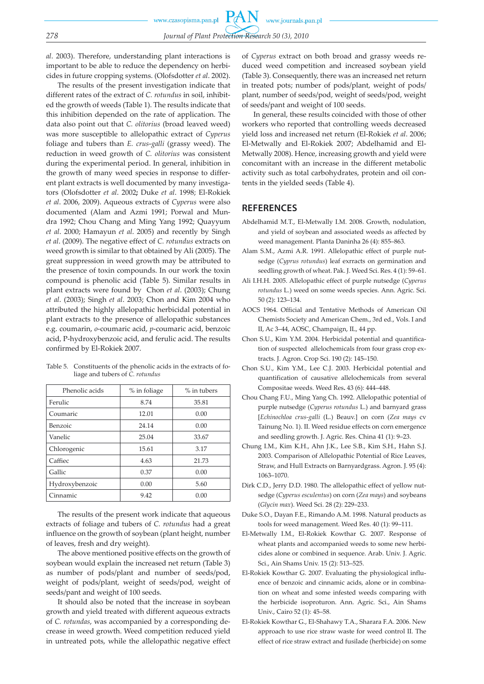*al*. 2003). Therefore, understanding plant interactions is important to be able to reduce the dependency on herbicides in future cropping systems. (Olofsdotter *et al*. 2002).

The results of the present investigation indicate that different rates of the extract of *C. rotundus* in soil, inhibited the growth of weeds (Table 1). The results indicate that this inhibition depended on the rate of application. The data also point out that *C. olitorius* (broad leaved weed) was more susceptible to allelopathic extract of *Cyperus* foliage and tubers than *E. crus*-*galli* (grassy weed). The reduction in weed growth of *C. olitorius* was consistent during the experimental period. In general, inhibition in the growth of many weed species in response to different plant extracts is well documented by many investigators (Olofsdotter *et al*. 2002**;** Duke *et al*. 1998; El-Rokiek *et al*. 2006, 2009). Aqueous extracts of *Cyperus* were also documented (Alam and Azmi 1991; Porwal and Mundra 1992; Chou Chang and Ming Yang 1992; Quayyum *et al*. 2000; Hamayun *et al*. 2005) and recently by Singh *et al*. (2009). The negative effect of *C. rotundus* extracts on weed growth is similar to that obtained by Ali (2005). The great suppression in weed growth may be attributed to the presence of toxin compounds. In our work the toxin compound is phenolic acid (Table 5). Similar results in plant extracts were found by Chon *et al*. (2003); Chung *et al*. (2003); Singh *et al*. 2003; Chon and Kim 2004 who attributed the highly allelopathic herbicidal potential in plant extracts to the presence of allelopathic substances e.g. coumarin, *o*-coumaric acid, *p*-coumaric acid, benzoic acid, P-hydroxybenzoic acid, and ferulic acid. The results confirmed by El-Rokiek 2007.

| Phenolic acids | % in foliage | $%$ in tubers |  |
|----------------|--------------|---------------|--|
| Ferulic        | 8.74         | 35.81         |  |
| Coumaric       | 12.01        | 0.00          |  |
| Benzoic        | 24.14        | 0.00          |  |
| Vanelic        | 25.04        | 33.67         |  |
| Chlorogenic    | 15.61        | 3.17          |  |
| Caffiec        | 4.63         | 21.73         |  |
| Gallic         | 0.37         | 0.00          |  |
| Hydroxybenzoic | 0.00         | 5.60          |  |
| Cinnamic       | 9.42         | 0.00          |  |

Table 5. Constituents of the phenolic acids in the extracts of foliage and tubers of *C. rotundus*

The results of the present work indicate that aqueous extracts of foliage and tubers of *C. rotundus* had a great influence on the growth of soybean (plant height, number of leaves, fresh and dry weight).

The above mentioned positive effects on the growth of soybean would explain the increased net return (Table 3) as number of pods/plant and number of seeds/pod, weight of pods/plant, weight of seeds/pod, weight of seeds/pant and weight of 100 seeds.

It should also be noted that the increase in soybean growth and yield treated with different aqueous extracts of *C. rotundas*, was accompanied by a corresponding decrease in weed growth. Weed competition reduced yield in untreated pots, while the allelopathic negative effect

of *Cyperus* extract on both broad and grassy weeds reduced weed competition and increased soybean yield (Table 3). Consequently, there was an increased net return in treated pots; number of pods/plant, weight of pods/ plant, number of seeds/pod, weight of seeds/pod, weight of seeds/pant and weight of 100 seeds.

In general, these results coincided with those of other workers who reported that controlling weeds decreased yield loss and increased net return (El-Rokiek *et al*. 2006; El-Metwally and El-Rokiek 2007; Abdelhamid and El-Metwally 2008). Hence, increasing growth and yield were concomitant with an increase in the different metabolic activity such as total carbohydrates, protein and oil contents in the yielded seeds (Table 4).

# **REFERENCES**

- Abdelhamid M.T., El-Metwally I.M. 2008. Growth, nodulation, and yield of soybean and associated weeds as affected by weed management. Planta Daninha 26 (4): 855–863.
- Alam S.M., Azmi A.R. 1991. Allelopathic effect of purple nutsedge (*Cyprus rotundus*) leaf exrracts on germination and seedling growth of wheat. Pak. J. Weed Sci. Res. 4 (1): 59–61.
- Ali I.H.H. 2005. Allelopathic effect of purple nutsedge (*Cyperus rotundus* L.) weed on some weeds species. Ann. Agric. Sci. 50 (2): 123–134.
- AOCS 1964. Official and Tentative Methods of American Oil Chemists Society and American Chem., 3rd ed., Vols. I and II, Ac 3–44, AOSC, Champaign, IL, 44 pp.
- Chon S.U., Kim Y.M. 2004. Herbicidal potential and quantification of suspected allelochemicals from four grass crop extracts. J. Agron. Crop Sci. 190 (2): 145–150.
- Chon S.U., Kim Y.M., Lee C.J. 2003. Herbicidal potential and quantification of causative allelochemicals from several Compositae weeds. Weed Res**.** 43 (6): 444–448.
- Chou Chang F.U., Ming Yang Ch. 1992. Allelopathic potential of purple nutsedge (*Cyperus rotundus* L.) and barnyard grass [*Echinochloa crus-galli* (L.) Beauv.] on corn (*Zea mays* cv Tainung No. 1). II. Weed residue effects on corn emergence and seedling growth. J. Agric. Res. China 41 (1): 9–23.
- Chung I.M., Kim K.H., Ahn J.K., Lee S.B., Kim S.H., Hahn S.J. 2003. Comparison of Allelopathic Potential of Rice Leaves, Straw, and Hull Extracts on Barnyardgrass. Agron. J. 95 (4): 1063–1070.
- Dirk C.D., Jerry D.D. 1980. The allelopathic effect of yellow nutsedge (*Cyperus esculentus*) on corn (*Zea mays*) and soybeans (*Glycin max*). Weed Sci. 28 (2): 229–233.
- Duke S.O., Dayan F.E., Rimando A.M. 1998. Natural products as tools for weed management. Weed Res. 40 (1): 99–111.
- El-Metwally I.M., El-Rokiek Kowthar G. 2007. Response of wheat plants and accompanied weeds to some new herbicides alone or combined in sequence. Arab. Univ. J. Agric. Sci., Ain Shams Univ. 15 (2): 513–525.
- El-Rokiek Kowthar G. 2007. Evaluating the physiological influence of benzoic and cinnamic acids, alone or in combination on wheat and some infested weeds comparing with the herbicide isoproturon. Ann. Agric. Sci., Ain Shams Univ., Cairo 52 (1): 45–58.
- El-Rokiek Kowthar G., El-Shahawy T.A., Sharara F.A. 2006. New approach to use rice straw waste for weed control II. The effect of rice straw extract and fusilade (herbicide) on some